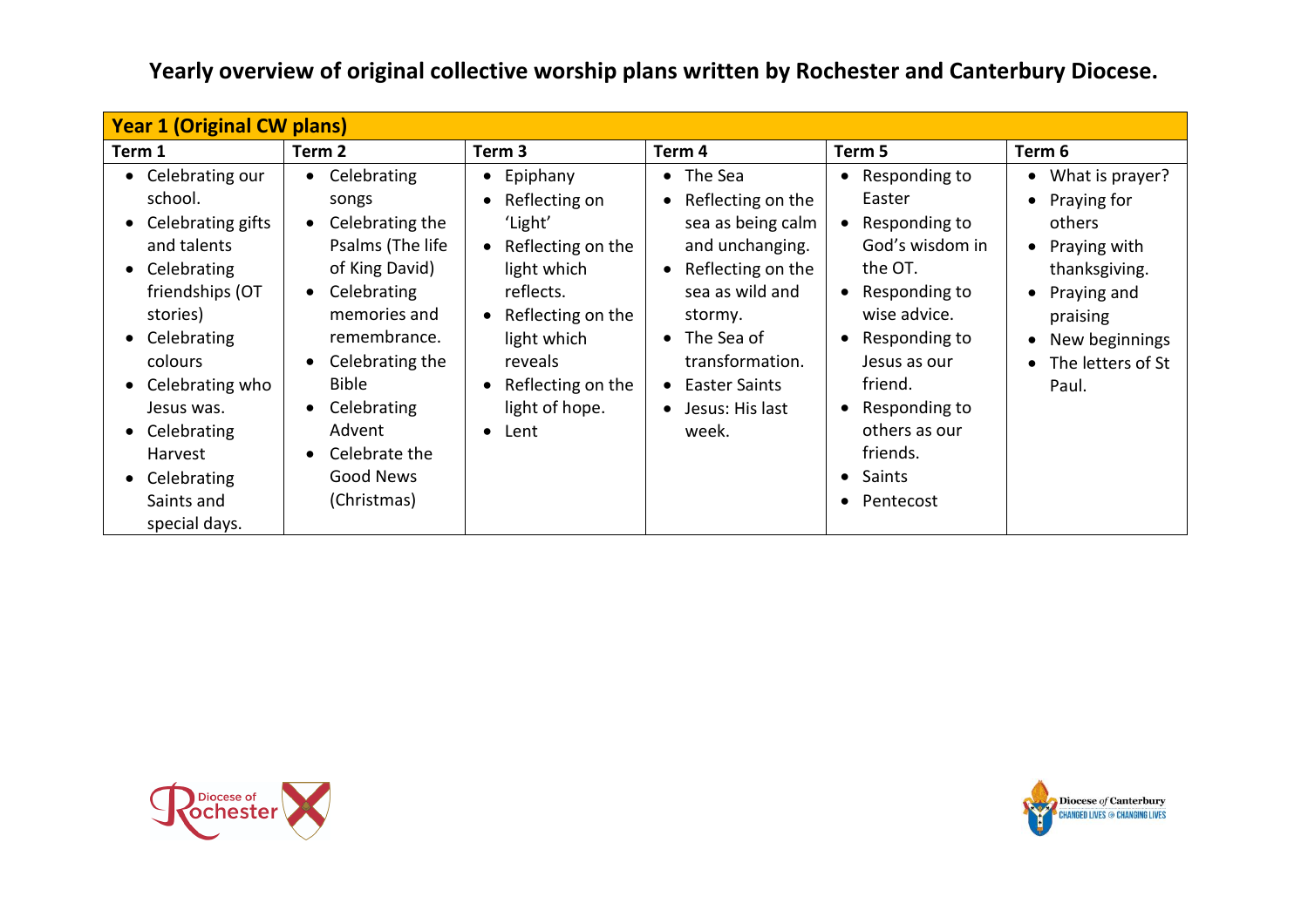| <b>Year 1 (Original CW plans)</b>                                                                                                                                                                                                                                    |                                                                                                                                                                                                                                                                 |                                                                                                                                                                                                                                                                   |                                                                                                                                                                                                                           |                                                                                                                                                                                                                                       |                                                                                                                                                              |  |
|----------------------------------------------------------------------------------------------------------------------------------------------------------------------------------------------------------------------------------------------------------------------|-----------------------------------------------------------------------------------------------------------------------------------------------------------------------------------------------------------------------------------------------------------------|-------------------------------------------------------------------------------------------------------------------------------------------------------------------------------------------------------------------------------------------------------------------|---------------------------------------------------------------------------------------------------------------------------------------------------------------------------------------------------------------------------|---------------------------------------------------------------------------------------------------------------------------------------------------------------------------------------------------------------------------------------|--------------------------------------------------------------------------------------------------------------------------------------------------------------|--|
| Term 1                                                                                                                                                                                                                                                               | Term 2                                                                                                                                                                                                                                                          | Term 3                                                                                                                                                                                                                                                            | Term 4                                                                                                                                                                                                                    | Term 5                                                                                                                                                                                                                                | Term 6                                                                                                                                                       |  |
| • Celebrating our<br>school.<br>• Celebrating gifts<br>and talents<br>• Celebrating<br>friendships (OT<br>stories)<br>• Celebrating<br>colours<br>• Celebrating who<br>Jesus was.<br>• Celebrating<br><b>Harvest</b><br>• Celebrating<br>Saints and<br>special days. | Celebrating<br>songs<br>Celebrating the<br>Psalms (The life<br>of King David)<br>Celebrating<br>$\bullet$<br>memories and<br>remembrance.<br>Celebrating the<br>$\bullet$<br><b>Bible</b><br>Celebrating<br>Advent<br>Celebrate the<br>Good News<br>(Christmas) | Epiphany<br>$\bullet$<br>Reflecting on<br>$\bullet$<br>'Light'<br>Reflecting on the<br>$\bullet$<br>light which<br>reflects.<br>Reflecting on the<br>$\bullet$<br>light which<br>reveals<br>Reflecting on the<br>$\bullet$<br>light of hope.<br>Lent<br>$\bullet$ | • The Sea<br>• Reflecting on the<br>sea as being calm<br>and unchanging.<br>• Reflecting on the<br>sea as wild and<br>stormy.<br>$\bullet$ The Sea of<br>transformation.<br>• Easter Saints<br>• Jesus: His last<br>week. | Responding to<br>Easter<br>Responding to<br>God's wisdom in<br>the OT.<br>Responding to<br>wise advice.<br>Responding to<br>Jesus as our<br>friend.<br>Responding to<br>others as our<br>friends.<br>Saints<br>$\bullet$<br>Pentecost | • What is prayer?<br>• Praying for<br>others<br>• Praying with<br>thanksgiving.<br>Praying and<br>praising<br>New beginnings<br>• The letters of St<br>Paul. |  |

**Yearly overview of original collective worship plans written by Rochester and Canterbury Diocese.**



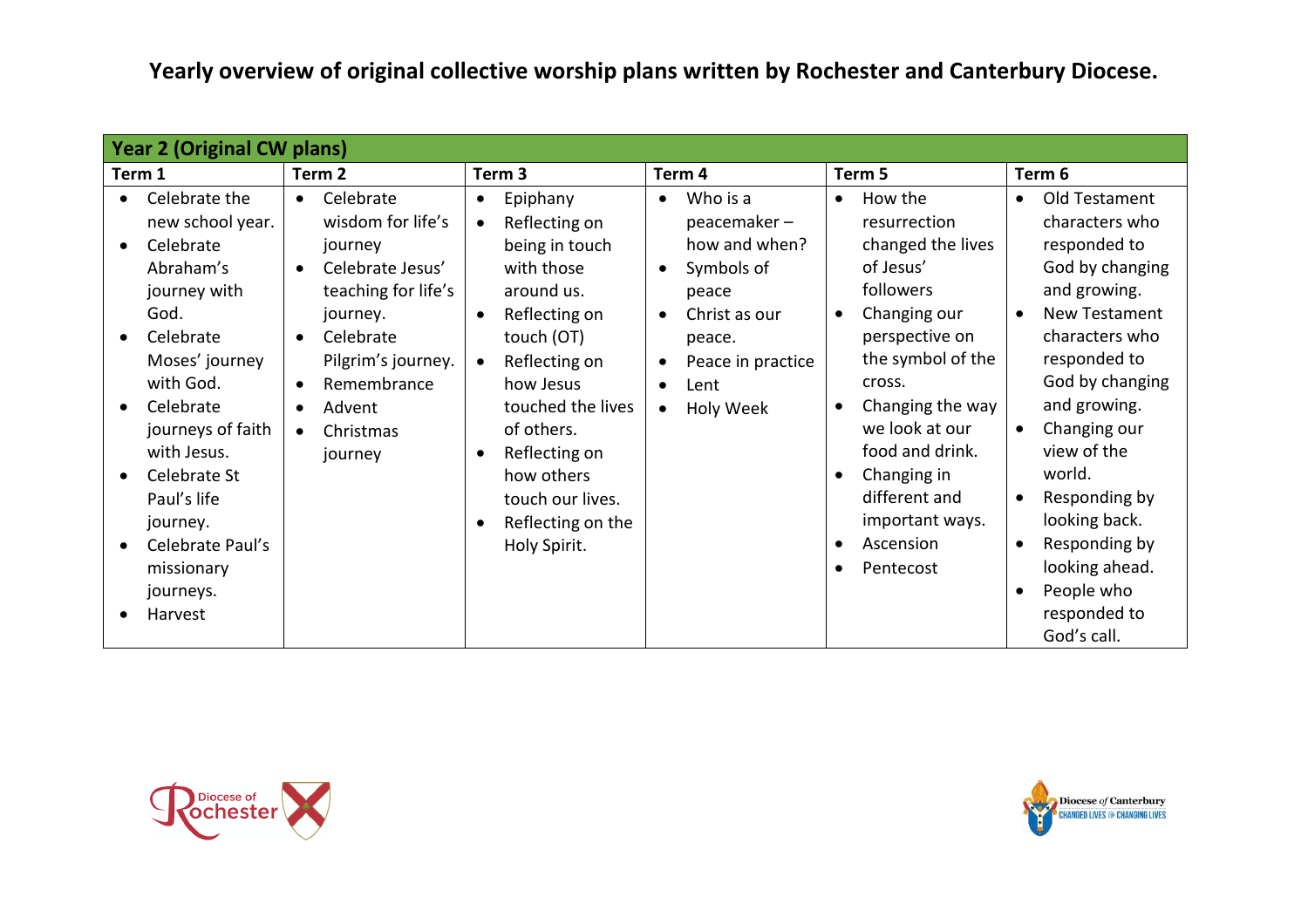**Yearly overview of original collective worship plans written by Rochester and Canterbury Diocese.**

| <b>Year 2 (Original CW plans)</b>                                                                                                                                                                                                                                                                  |                                                                                                                                                                                                                                                                    |                                                                                                                                                                                                                                                                                                        |                                                                                                                                                                                                       |                                                                                                                                                                                                                                                                                            |                                                                                                                                                                                                                                                                                                                                     |
|----------------------------------------------------------------------------------------------------------------------------------------------------------------------------------------------------------------------------------------------------------------------------------------------------|--------------------------------------------------------------------------------------------------------------------------------------------------------------------------------------------------------------------------------------------------------------------|--------------------------------------------------------------------------------------------------------------------------------------------------------------------------------------------------------------------------------------------------------------------------------------------------------|-------------------------------------------------------------------------------------------------------------------------------------------------------------------------------------------------------|--------------------------------------------------------------------------------------------------------------------------------------------------------------------------------------------------------------------------------------------------------------------------------------------|-------------------------------------------------------------------------------------------------------------------------------------------------------------------------------------------------------------------------------------------------------------------------------------------------------------------------------------|
| Term 1                                                                                                                                                                                                                                                                                             | Term <sub>2</sub>                                                                                                                                                                                                                                                  | Term <sub>3</sub>                                                                                                                                                                                                                                                                                      | Term 4                                                                                                                                                                                                | Term 5                                                                                                                                                                                                                                                                                     | Term 6                                                                                                                                                                                                                                                                                                                              |
| Celebrate the<br>new school year.<br>Celebrate<br>$\bullet$<br>Abraham's<br>journey with<br>God.<br>Celebrate<br>Moses' journey<br>with God.<br>Celebrate<br>journeys of faith<br>with Jesus.<br>Celebrate St<br>Paul's life<br>journey.<br>Celebrate Paul's<br>missionary<br>journeys.<br>Harvest | Celebrate<br>$\bullet$<br>wisdom for life's<br>journey<br>Celebrate Jesus'<br>$\bullet$<br>teaching for life's<br>journey.<br>Celebrate<br>$\bullet$<br>Pilgrim's journey.<br>Remembrance<br>$\bullet$<br>Advent<br>$\bullet$<br>Christmas<br>$\bullet$<br>journey | Epiphany<br>$\bullet$<br>Reflecting on<br>$\bullet$<br>being in touch<br>with those<br>around us.<br>Reflecting on<br>touch (OT)<br>Reflecting on<br>$\bullet$<br>how Jesus<br>touched the lives<br>of others.<br>Reflecting on<br>how others<br>touch our lives.<br>Reflecting on the<br>Holy Spirit. | Who is a<br>$\bullet$<br>peacemaker-<br>how and when?<br>Symbols of<br>$\bullet$<br>peace<br>Christ as our<br>$\bullet$<br>peace.<br>Peace in practice<br>Lent<br>$\bullet$<br>Holy Week<br>$\bullet$ | How the<br>$\bullet$<br>resurrection<br>changed the lives<br>of Jesus'<br>followers<br>Changing our<br>perspective on<br>the symbol of the<br>cross.<br>Changing the way<br>we look at our<br>food and drink.<br>Changing in<br>different and<br>important ways.<br>Ascension<br>Pentecost | Old Testament<br>characters who<br>responded to<br>God by changing<br>and growing.<br>New Testament<br>characters who<br>responded to<br>God by changing<br>and growing.<br>Changing our<br>view of the<br>world.<br>Responding by<br>looking back.<br>Responding by<br>looking ahead.<br>People who<br>responded to<br>God's call. |